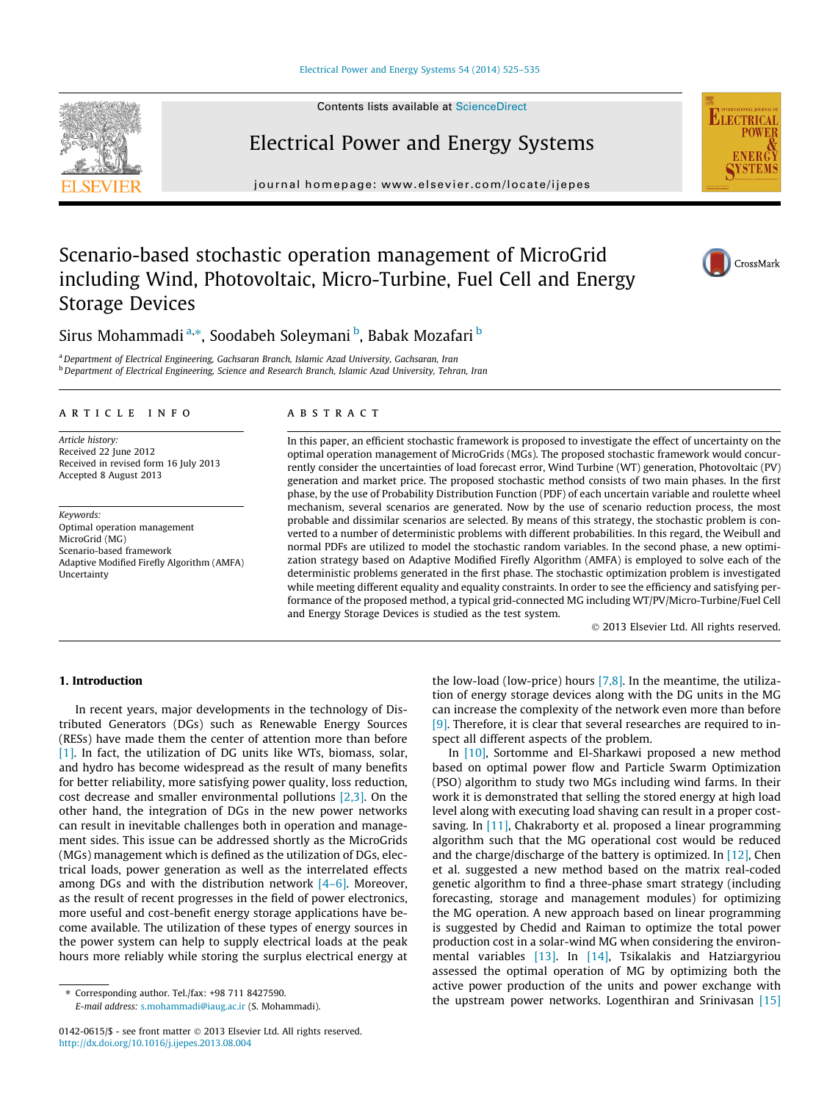### [Electrical Power and Energy Systems 54 \(2014\) 525–535](http://dx.doi.org/10.1016/j.ijepes.2013.08.004)

Contents lists available at [ScienceDirect](http://www.sciencedirect.com/science/journal/01420615)

# Electrical Power and Energy Systems

journal homepage: [www.elsevier.com/locate/ijepes](http://www.elsevier.com/locate/ijepes)

# **ELECTRICAL STE**

## Scenario-based stochastic operation management of MicroGrid including Wind, Photovoltaic, Micro-Turbine, Fuel Cell and Energy Storage Devices



## Sirus Mohammadi <sup>a,</sup>\*, Soodabeh Soleymani <sup>b</sup>, Babak Mozafari <sup>b</sup>

a Department of Electrical Engineering, Gachsaran Branch, Islamic Azad University, Gachsaran, Iran <sup>b</sup> Department of Electrical Engineering, Science and Research Branch, Islamic Azad University, Tehran, Iran

#### article info

Article history: Received 22 June 2012 Received in revised form 16 July 2013 Accepted 8 August 2013

Keywords: Optimal operation management MicroGrid (MG) Scenario-based framework Adaptive Modified Firefly Algorithm (AMFA) Uncertainty

## **ABSTRACT**

In this paper, an efficient stochastic framework is proposed to investigate the effect of uncertainty on the optimal operation management of MicroGrids (MGs). The proposed stochastic framework would concurrently consider the uncertainties of load forecast error, Wind Turbine (WT) generation, Photovoltaic (PV) generation and market price. The proposed stochastic method consists of two main phases. In the first phase, by the use of Probability Distribution Function (PDF) of each uncertain variable and roulette wheel mechanism, several scenarios are generated. Now by the use of scenario reduction process, the most probable and dissimilar scenarios are selected. By means of this strategy, the stochastic problem is converted to a number of deterministic problems with different probabilities. In this regard, the Weibull and normal PDFs are utilized to model the stochastic random variables. In the second phase, a new optimization strategy based on Adaptive Modified Firefly Algorithm (AMFA) is employed to solve each of the deterministic problems generated in the first phase. The stochastic optimization problem is investigated while meeting different equality and equality constraints. In order to see the efficiency and satisfying performance of the proposed method, a typical grid-connected MG including WT/PV/Micro-Turbine/Fuel Cell and Energy Storage Devices is studied as the test system.

- 2013 Elsevier Ltd. All rights reserved.

## 1. Introduction

In recent years, major developments in the technology of Distributed Generators (DGs) such as Renewable Energy Sources (RESs) have made them the center of attention more than before [\[1\]](#page--1-0). In fact, the utilization of DG units like WTs, biomass, solar, and hydro has become widespread as the result of many benefits for better reliability, more satisfying power quality, loss reduction, cost decrease and smaller environmental pollutions [\[2,3\]](#page--1-0). On the other hand, the integration of DGs in the new power networks can result in inevitable challenges both in operation and management sides. This issue can be addressed shortly as the MicroGrids (MGs) management which is defined as the utilization of DGs, electrical loads, power generation as well as the interrelated effects among DGs and with the distribution network  $[4-6]$ . Moreover, as the result of recent progresses in the field of power electronics, more useful and cost-benefit energy storage applications have become available. The utilization of these types of energy sources in the power system can help to supply electrical loads at the peak hours more reliably while storing the surplus electrical energy at

the low-load (low-price) hours  $[7,8]$ . In the meantime, the utilization of energy storage devices along with the DG units in the MG can increase the complexity of the network even more than before [\[9\]](#page--1-0). Therefore, it is clear that several researches are required to inspect all different aspects of the problem.

In [\[10\]](#page--1-0), Sortomme and El-Sharkawi proposed a new method based on optimal power flow and Particle Swarm Optimization (PSO) algorithm to study two MGs including wind farms. In their work it is demonstrated that selling the stored energy at high load level along with executing load shaving can result in a proper cost-saving. In [\[11\]](#page--1-0), Chakraborty et al. proposed a linear programming algorithm such that the MG operational cost would be reduced and the charge/discharge of the battery is optimized. In  $[12]$ , Chen et al. suggested a new method based on the matrix real-coded genetic algorithm to find a three-phase smart strategy (including forecasting, storage and management modules) for optimizing the MG operation. A new approach based on linear programming is suggested by Chedid and Raiman to optimize the total power production cost in a solar-wind MG when considering the environmental variables [\[13\]](#page--1-0). In [\[14\]](#page--1-0), Tsikalakis and Hatziargyriou assessed the optimal operation of MG by optimizing both the active power production of the units and power exchange with the upstream power networks. Logenthiran and Srinivasan [\[15\]](#page--1-0)

<sup>⇑</sup> Corresponding author. Tel./fax: +98 711 8427590.

E-mail address: [s.mohammadi@iaug.ac.ir](mailto:s.mohammadi@iaug.ac.ir) (S. Mohammadi).

<sup>0142-0615/\$ -</sup> see front matter © 2013 Elsevier Ltd. All rights reserved. <http://dx.doi.org/10.1016/j.ijepes.2013.08.004>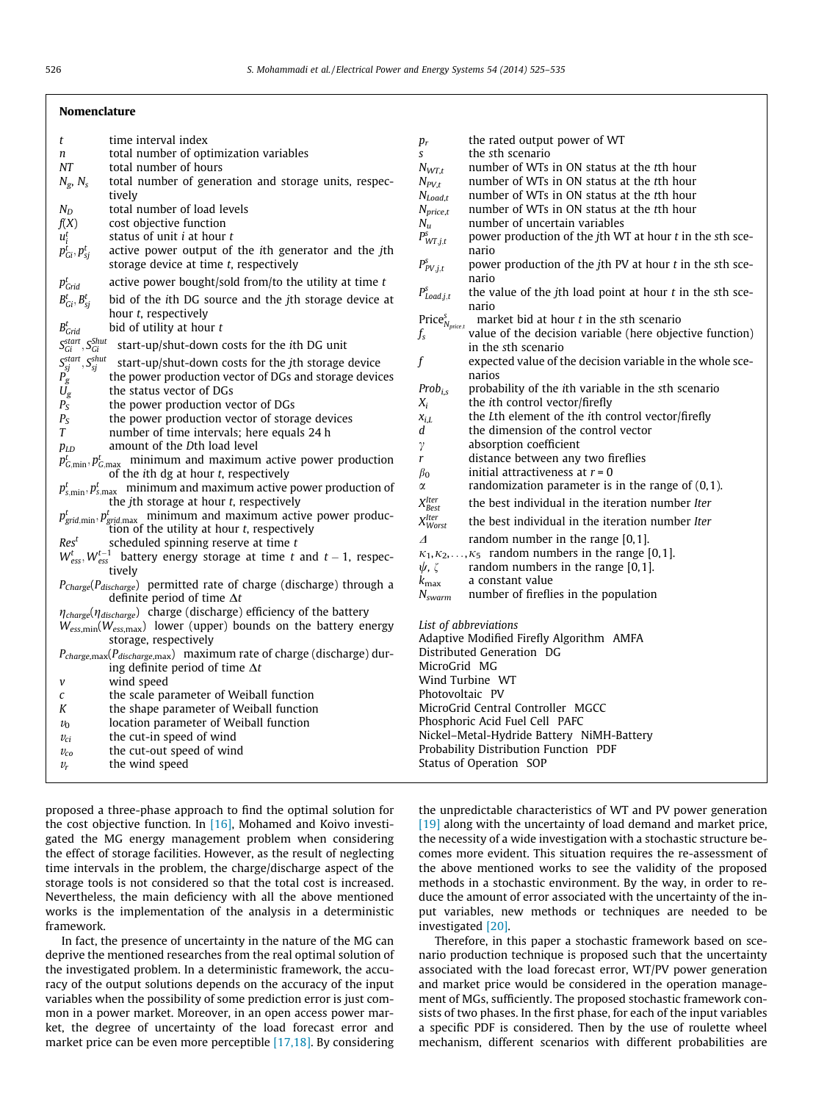| Nomenclature |                                 |                                                                                                                                |                                          |                 |
|--------------|---------------------------------|--------------------------------------------------------------------------------------------------------------------------------|------------------------------------------|-----------------|
|              | t                               | time interval index                                                                                                            | $p_r$                                    | the ra          |
|              | n                               | total number of optimization variables                                                                                         | S                                        | the st          |
|              | NT                              | total number of hours                                                                                                          | $N_{WT,t}$                               | numb            |
|              | $N_g$ , $N_s$                   | total number of generation and storage units, respec-                                                                          | $N_{PV,t}$                               | numb            |
|              |                                 | tively                                                                                                                         | $N_{Load, t}$                            | numb            |
|              | $N_D$                           | total number of load levels                                                                                                    | $N_{price,t}$                            | numb            |
|              | f(X)                            | cost objective function                                                                                                        | $N_u$                                    | numb            |
|              | $u_i^t$                         | status of unit <i>i</i> at hour <i>t</i>                                                                                       | $P^s_{WT,j,t}$                           | powe            |
|              | $p_{Gi}^t, p_{sj}^t$            | active power output of the ith generator and the jth                                                                           |                                          | nario           |
|              |                                 | storage device at time t, respectively                                                                                         | $P_{PV,j,t}^s$                           | powe            |
|              | $p_{Grid}^t$                    | active power bought/sold from/to the utility at time t                                                                         |                                          | nario           |
|              | $B_{Gi}^{t}, B_{si}^{t}$        | bid of the ith DG source and the jth storage device at                                                                         | $P^s_{Load,j,t}$                         | the v           |
|              |                                 | hour t, respectively                                                                                                           |                                          | nario           |
|              | $B_{Grid}^{t}$                  | bid of utility at hour t                                                                                                       | $\mathsf{Price}_{N_{price, t}}^s$        | mar             |
|              | $S_{Gi}^{start}, S_{Gi}^{Shut}$ | start-up/shut-down costs for the <i>i</i> th DG unit                                                                           | Js                                       | value<br>in the |
|              |                                 |                                                                                                                                | f                                        |                 |
|              | $S_{sj}^{start}, S_{sj}^{shut}$ | start-up/shut-down costs for the jth storage device                                                                            |                                          | expec<br>nario: |
|              | $P_g$                           | the power production vector of DGs and storage devices                                                                         | $Prob_{is}$                              | proba           |
|              | $U_{g}$<br>$P_{\mathcal{S}}$    | the status vector of DGs<br>the power production vector of DGs                                                                 | $X_i$                                    | the <i>it</i>   |
|              | $P_{S}$                         | the power production vector of storage devices                                                                                 | $x_{i,L}$                                | the Lt          |
|              | T                               | number of time intervals; here equals 24 h                                                                                     | d                                        | the di          |
|              | $p_{LD}$                        | amount of the Dth load level                                                                                                   | γ                                        | absor           |
|              |                                 | $p_{G,\min}^t, p_{G,\max}^t$ minimum and maximum active power production                                                       | r                                        | distar          |
|              |                                 | of the $i$ th dg at hour $t$ , respectively                                                                                    | $\beta_0$                                | initial         |
|              |                                 | $p_{s,\min}^t, p_{s,\max}^t$ minimum and maximum active power production of                                                    | α                                        | randc           |
|              |                                 | the <i>j</i> th storage at hour $t$ , respectively                                                                             | $X_{\text{Best}}^{Iter}$                 | the b           |
|              |                                 | $p_{grid,min}^t$ , $p_{grid,max}^t$ minimum and maximum active power produc-<br>tion of the utility at hour $t$ , respectively | XIter<br>Worst                           | the b           |
|              | Res <sup>t</sup>                | scheduled spinning reserve at time t                                                                                           | Δ                                        | randc           |
|              |                                 | $W_{\text{ess}}^{t}$ , $W_{\text{ess}}^{t-1}$ battery energy storage at time t and $t-1$ , respec-                             | $\kappa_1, \kappa_2, \ldots, \kappa_5$ r |                 |
|              |                                 | tively                                                                                                                         | ψ. ζ                                     | randc           |
|              |                                 | P <sub>Charge</sub> (P <sub>discharge</sub> ) permitted rate of charge (discharge) through a                                   | $k_{\rm max}$                            | a con           |
|              |                                 | definite period of time $\Delta t$                                                                                             | $N_{swarm}$                              | numb            |
|              |                                 | $\eta_{charge}(\eta_{discharge})$ charge (discharge) efficiency of the battery                                                 |                                          |                 |
|              |                                 | $W_{\text{ess,min}}(W_{\text{ess,max}})$ lower (upper) bounds on the battery energy                                            | List of abbrevial                        |                 |
|              |                                 | storage, respectively                                                                                                          | Adaptive Modif<br>Distributed Ger        |                 |
|              |                                 | Pcharge, max(Pdischarge, max) maximum rate of charge (discharge) dur-<br>ing definite period of time $\Delta t$                | MicroGrid MG                             |                 |
|              | v                               | wind speed                                                                                                                     | Wind Turbine                             |                 |
|              | с                               | the scale parameter of Weiball function                                                                                        | Photovoltaic P                           |                 |
|              | Κ                               | the shape parameter of Weiball function                                                                                        | MicroGrid Cent                           |                 |
|              | $v_0$                           | location parameter of Weiball function                                                                                         | Phosphoric Aci                           |                 |
|              | $v_{ci}$                        | the cut-in speed of wind                                                                                                       | Nickel–Metal-F                           |                 |
|              | $v_{co}$                        | the cut-out speed of wind                                                                                                      | <b>Probability Dist</b>                  |                 |
|              | $v_r$                           | the wind speed                                                                                                                 | Status of Opera                          |                 |
|              |                                 |                                                                                                                                |                                          |                 |

proposed a three-phase approach to find the optimal solution for the cost objective function. In [\[16\],](#page--1-0) Mohamed and Koivo investigated the MG energy management problem when considering the effect of storage facilities. However, as the result of neglecting time intervals in the problem, the charge/discharge aspect of the storage tools is not considered so that the total cost is increased. Nevertheless, the main deficiency with all the above mentioned works is the implementation of the analysis in a deterministic framework.

In fact, the presence of uncertainty in the nature of the MG can deprive the mentioned researches from the real optimal solution of the investigated problem. In a deterministic framework, the accuracy of the output solutions depends on the accuracy of the input variables when the possibility of some prediction error is just common in a power market. Moreover, in an open access power market, the degree of uncertainty of the load forecast error and market price can be even more perceptible [\[17,18\].](#page--1-0) By considering

| the rated output power of WT                                                             |  |  |  |  |
|------------------------------------------------------------------------------------------|--|--|--|--|
| the sth scenario                                                                         |  |  |  |  |
| number of WTs in ON status at the tth hour                                               |  |  |  |  |
| number of WTs in ON status at the tth hour<br>number of WTs in ON status at the tth hour |  |  |  |  |
| number of WTs in ON status at the tth hour                                               |  |  |  |  |
| number of uncertain variables                                                            |  |  |  |  |
| power production of the <i>j</i> th WT at hour <i>t</i> in the <i>s</i> th sce-          |  |  |  |  |
| nario                                                                                    |  |  |  |  |
| power production of the $j$ th PV at hour $t$ in the $st$ h sce-<br>nario                |  |  |  |  |
| the value of the <i>j</i> th load point at hour <i>t</i> in the <i>sth</i> sce-          |  |  |  |  |
| nario                                                                                    |  |  |  |  |
| $\mathsf{Price}_{N_{price,t}}^s$<br>market bid at hour t in the sth scenario             |  |  |  |  |
| value of the decision variable (here objective function)                                 |  |  |  |  |
| in the sth scenario                                                                      |  |  |  |  |
| expected value of the decision variable in the whole sce-<br>narios                      |  |  |  |  |
| probability of the ith variable in the sth scenario                                      |  |  |  |  |
| the ith control vector/firefly                                                           |  |  |  |  |
| the Lth element of the ith control vector/firefly                                        |  |  |  |  |
| the dimension of the control vector                                                      |  |  |  |  |
| absorption coefficient                                                                   |  |  |  |  |
| distance between any two fireflies                                                       |  |  |  |  |
| initial attractiveness at $r = 0$                                                        |  |  |  |  |
| randomization parameter is in the range of $(0,1)$ .                                     |  |  |  |  |
| the best individual in the iteration number Iter                                         |  |  |  |  |
| the best individual in the iteration number Iter                                         |  |  |  |  |
| random number in the range $[0,1]$ .                                                     |  |  |  |  |
| $\kappa_1, \kappa_2, \ldots, \kappa_5$ random numbers in the range [0,1].                |  |  |  |  |
| random numbers in the range $[0,1]$ .                                                    |  |  |  |  |
| a constant value<br>number of fireflies in the population                                |  |  |  |  |
|                                                                                          |  |  |  |  |
| List of abbreviations                                                                    |  |  |  |  |
| Adaptive Modified Firefly Algorithm AMFA                                                 |  |  |  |  |
| Distributed Generation DG                                                                |  |  |  |  |
| MicroGrid MG                                                                             |  |  |  |  |
| Wind Turbine WT                                                                          |  |  |  |  |
| Photovoltaic PV                                                                          |  |  |  |  |
| MicroGrid Central Controller MGCC                                                        |  |  |  |  |
| Phosphoric Acid Fuel Cell PAFC<br>Nickel-Metal-Hydride Battery NiMH-Battery              |  |  |  |  |
| Probability Distribution Function PDF                                                    |  |  |  |  |
| Status of Operation SOP                                                                  |  |  |  |  |
|                                                                                          |  |  |  |  |

the unpredictable characteristics of WT and PV power generation [\[19\]](#page--1-0) along with the uncertainty of load demand and market price, the necessity of a wide investigation with a stochastic structure becomes more evident. This situation requires the re-assessment of the above mentioned works to see the validity of the proposed methods in a stochastic environment. By the way, in order to reduce the amount of error associated with the uncertainty of the input variables, new methods or techniques are needed to be investigated [\[20\].](#page--1-0)

Therefore, in this paper a stochastic framework based on scenario production technique is proposed such that the uncertainty associated with the load forecast error, WT/PV power generation and market price would be considered in the operation management of MGs, sufficiently. The proposed stochastic framework consists of two phases. In the first phase, for each of the input variables a specific PDF is considered. Then by the use of roulette wheel mechanism, different scenarios with different probabilities are